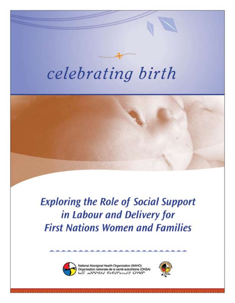# celebrating birth



**Exploring the Role of Social Support** in Labour and Delivery for **First Nations Women and Families** 



National Aboriginal Health Organization (NAHO) Organisation nationale de la santé autochtone (ONSA)

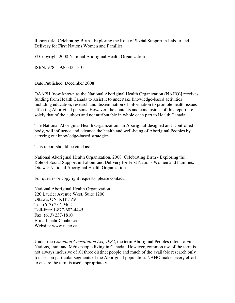Report title: Celebrating Birth - Exploring the Role of Social Support in Labour and Delivery for First Nations Women and Families

© Copyright 2008 National Aboriginal Health Organization

ISBN: 978-1-926543-13-0

Date Published: December 2008

OAAPH [now known as the National Aboriginal Health Organization (NAHO)] receives funding from Health Canada to assist it to undertake knowledge-based activities including education, research and dissemination of information to promote health issues affecting Aboriginal persons. However, the contents and conclusions of this report are solely that of the authors and not attributable in whole or in part to Health Canada.

The National Aboriginal Health Organization, an Aboriginal-designed and -controlled body, will influence and advance the health and well-being of Aboriginal Peoples by carrying out knowledge-based strategies.

This report should be cited as:

National Aboriginal Health Organization. 2008. Celebrating Birth - Exploring the Role of Social Support in Labour and Delivery for First Nations Women and Families. Ottawa: National Aboriginal Health Organization.

For queries or copyright requests, please contact:

National Aboriginal Health Organization 220 Laurier Avenue West, Suite 1200 Ottawa, ON K1P 5Z9 Tel: (613) 237-9462 Toll-free: 1-877-602-4445 Fax: (613) 237-1810 E-mail: naho@naho.ca Website: www.naho.ca

Under the *Canadian Constitution Act, 1982*, the term Aboriginal Peoples refers to First Nations, Inuit and Métis people living in Canada. However, common use of the term is not always inclusive of all three distinct people and much of the available research only focuses on particular segments of the Aboriginal population. NAHO makes every effort to ensure the term is used appropriately.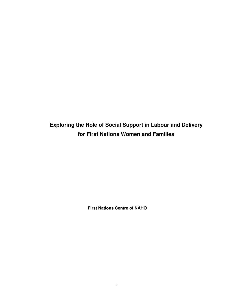**Exploring the Role of Social Support in Labour and Delivery for First Nations Women and Families** 

**First Nations Centre of NAHO**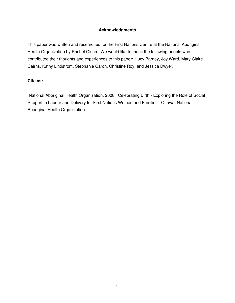#### **Acknowledgments**

This paper was written and researched for the First Nations Centre at the National Aboriginal Health Organization by Rachel Olson. We would like to thank the following people who contributed their thoughts and experiences to this paper: Lucy Barney, Joy Ward, Mary Claire Cairns, Kathy Lindstrom, Stephanie Caron, Christine Roy, and Jessica Dwyer.

#### **Cite as:**

 National Aboriginal Health Organization. 2008. Celebrating Birth - Exploring the Role of Social Support in Labour and Delivery for First Nations Women and Families. Ottawa: National Aboriginal Health Organization.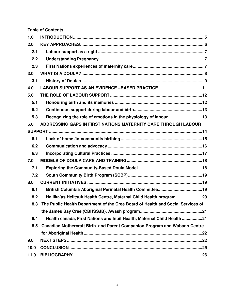**Table of Contents** 

| 1.0  |                                                                                 |
|------|---------------------------------------------------------------------------------|
| 2.0  |                                                                                 |
| 2.1  |                                                                                 |
| 2.2  |                                                                                 |
| 2.3  |                                                                                 |
| 3.0  |                                                                                 |
| 3.1  |                                                                                 |
| 4.0  | LABOUR SUPPORT AS AN EVIDENCE -BASED PRACTICE11                                 |
| 5.0  |                                                                                 |
| 5.1  |                                                                                 |
| 5.2  |                                                                                 |
| 5.3  | Recognizing the role of emotions in the physiology of labour 13                 |
| 6.0  | ADDRESSING GAPS IN FIRST NATIONS MATERNITY CARE THROUGH LABOUR                  |
|      |                                                                                 |
| 6.1  |                                                                                 |
| 6.2  |                                                                                 |
| 6.3  |                                                                                 |
| 7.0  |                                                                                 |
| 7.1  |                                                                                 |
| 7.2  |                                                                                 |
| 8.0  |                                                                                 |
| 8.1  |                                                                                 |
| 8.2  | Hailika'as Heiltsuk Health Centre, Maternal Child Health program20              |
| 8.3  | The Public Health Department of the Cree Board of Health and Social Services of |
|      |                                                                                 |
| 8.4  | Health canada, First Nations and Inuit Health, Maternal Child Health 21         |
| 8.5  | Canadian Mothercraft Birth and Parent Companion Program and Wabano Centre       |
|      |                                                                                 |
| 9.0  |                                                                                 |
| 10.0 |                                                                                 |
| 11.0 |                                                                                 |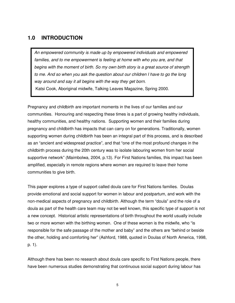### **1.0 INTRODUCTION**

An empowered community is made up by empowered individuals and empowered families, and to me empowerment is feeling at home with who you are, and that begins with the moment of birth. So my own birth story is a great source of strength to me. And so when you ask the question about our children I have to go the long way around and say it all begins with the way they get born. Katsi Cook, Aboriginal midwife, Talking Leaves Magazine, Spring 2000.

Pregnancy and childbirth are important moments in the lives of our families and our communities. Honouring and respecting these times is a part of growing healthy individuals, healthy communities, and healthy nations. Supporting women and their families during pregnancy and childbirth has impacts that can carry on for generations. Traditionally, women supporting women during childbirth has been an integral part of this process, and is described as an "ancient and widespread practice", and that "one of the most profound changes in the childbirth process during the 20th century was to isolate labouring women from her social supportive network" (Maimbolwa, 2004, p.13). For First Nations families, this impact has been amplified, especially in remote regions where women are required to leave their home communities to give birth.

This paper explores a type of support called doula care for First Nations families. Doulas provide emotional and social support for women in labour and postpartum, and work with the non-medical aspects of pregnancy and childbirth. Although the term "doula" and the role of a doula as part of the health care team may not be well known, this specific type of support is not a new concept. Historical artistic representations of birth throughout the world usually include two or more women with the birthing women. One of these women is the midwife, who "is responsible for the safe passage of the mother and baby" and the others are "behind or beside the other, holding and comforting her" (Ashford, 1988, quoted in Doulas of North America, 1998, p. 1).

Although there has been no research about doula care specific to First Nations people, there have been numerous studies demonstrating that continuous social support during labour has

5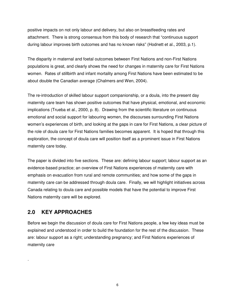positive impacts on not only labour and delivery, but also on breastfeeding rates and attachment. There is strong consensus from this body of research that "continuous support during labour improves birth outcomes and has no known risks" (Hodnett et al., 2003, p.1).

The disparity in maternal and foetal outcomes between First Nations and non-First Nations populations is great, and clearly shows the need for changes in maternity care for First Nations women. Rates of stillbirth and infant mortality among First Nations have been estimated to be about double the Canadian average (Chalmers and Wen, 2004).

The re-introduction of skilled labour support companionship, or a doula, into the present day maternity care team has shown positive outcomes that have physical, emotional, and economic implications (Trueba et al., 2000, p. 8). Drawing from the scientific literature on continuous emotional and social support for labouring women, the discourses surrounding First Nations women's experiences of birth, and looking at the gaps in care for First Nations, a clear picture of the role of doula care for First Nations families becomes apparent. It is hoped that through this exploration, the concept of doula care will position itself as a prominent issue in First Nations maternity care today.

The paper is divided into five sections. These are: defining labour support; labour support as an evidence-based practice; an overview of First Nations experiences of maternity care with emphasis on evacuation from rural and remote communities; and how some of the gaps in maternity care can be addressed through doula care. Finally, we will highlight initiatives across Canada relating to doula care and possible models that have the potential to improve First Nations maternity care will be explored.

## **2.0 KEY APPROACHES**

.

Before we begin the discussion of doula care for First Nations people, a few key ideas must be explained and understood in order to build the foundation for the rest of the discussion. These are: labour support as a right; understanding pregnancy; and First Nations experiences of maternity care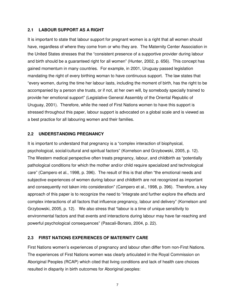#### **2.1 LABOUR SUPPORT AS A RIGHT**

It is important to state that labour support for pregnant women is a right that all women should have, regardless of where they come from or who they are. The Maternity Center Association in the United States stresses that the "consistent presence of a supportive provider during labour and birth should be a guaranteed right for all women" (Hunter, 2002, p. 656). This concept has gained momentum in many countries. For example, in 2001, Uruguay passed legislation mandating the right of every birthing woman to have continuous support. The law states that "every women, during the time her labour lasts, including the moment of birth, has the right to be accompanied by a person she trusts, or if not, at her own will, by somebody specially trained to provide her emotional support" (Legislative General Assembly of the Oriental Republic of Uruguay, 2001). Therefore, while the need of First Nations women to have this support is stressed throughout this paper, labour support is advocated on a global scale and is viewed as a best practice for all labouring women and their families.

#### **2.2 UNDERSTANDING PREGNANCY**

It is important to understand that pregnancy is a "complex interaction of biophysical, psychological, social/cultural and spiritual factors" (Kornelson and Grzybowski, 2005, p. 12). The Western medical perspective often treats pregnancy, labour, and childbirth as "potentially pathological conditions for which the mother and/or child require specialized and technological care" (Campero et al., 1998, p. 396). The result of this is that often "the emotional needs and subjective experiences of women during labour and childbirth are not recognized as important and consequently not taken into consideration" (Campero et al., 1998, p. 396). Therefore, a key approach of this paper is to recognize the need to "integrate and further explore the effects and complex interactions of all factors that influence pregnancy, labour and delivery" (Kornelson and Grzybowski, 2005, p. 12). We also stress that "labour is a time of unique sensitivity to environmental factors and that events and interactions during labour may have far-reaching and powerful psychological consequences" (Pascali-Bonaro, 2004, p. 22).

#### **2.3 FIRST NATIONS EXPERIENCES OF MATERNITY CARE**

First Nations women's experiences of pregnancy and labour often differ from non-First Nations. The experiences of First Nations women was clearly articulated in the Royal Commission on Aboriginal Peoples (RCAP) which cited that living conditions and lack of health care choices resulted in disparity in birth outcomes for Aboriginal peoples:

7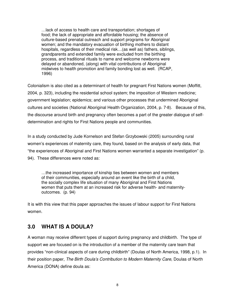…lack of access to health care and transportation; shortages of food; the lack of appropriate and affordable housing; the absence of culture-based prenatal outreach and support programs for Aboriginal women; and the mandatory evacuation of birthing mothers to distant hospitals, regardless of their medical risk... (as well as) fathers, siblings, grandparents and extended family were excluded from the birthing process, and traditional rituals to name and welcome newborns were delayed or abandoned, (along) with vital contributions of Aboriginal midwives to health promotion and family bonding lost as well. (RCAP, 1996)

Colonialism is also cited as a determinant of health for pregnant First Nations women (Moffitt, 2004, p. 323), including the residential school system; the imposition of Western medicine; government legislation; epidemics; and various other processes that undermined Aboriginal cultures and societies (National Aboriginal Health Organization, 2004, p. 7-8). Because of this, the discourse around birth and pregnancy often becomes a part of the greater dialogue of selfdetermination and rights for First Nations people and communities.

In a study conducted by Jude Kornelson and Stefan Grzybowski (2005) surrounding rural women's experiences of maternity care, they found, based on the analysis of early data, that "the experiences of Aboriginal and First Nations women warranted a separate investigation" (p. 94). These differences were noted as:

 …the increased importance of kinship ties between women and members of their communities, especially around an event like the birth of a child, the socially complex life situation of many Aboriginal and First Nations women that puts them at an increased risk for adverse health- and maternity outcomes. (p. 94)

It is with this view that this paper approaches the issues of labour support for First Nations women.

## **3.0 WHAT IS A DOULA?**

A woman may receive different types of support during pregnancy and childbirth. The type of support we are focused on is the introduction of a member of the maternity care team that provides "non-clinical aspects of care during childbirth" (Doulas of North America, 1998, p.1). In their position paper, The Birth Doula's Contribution to Modern Maternity Care, Doulas of North America (DONA) define doula as: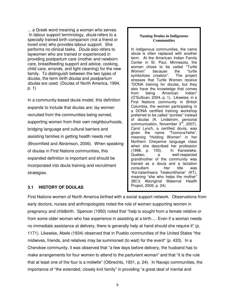... a Greek word meaning a woman who serves. In labour support terminology, *doula* refers to a specially trained birth companion (not a friend or loved one) who provides labour support. She performs no clinical tasks. Doula also refers to laywomen who are trained or experienced in providing postpartum care (mother and newborn care, breastfeeding support and advice, cooking, child care, errands, and light cleaning) for the new family. To distinguish between the two types of doulas, the term birth doulas and postpartum doulas are used. (Doulas of North America, 1994, p. 1)

In a community-based doula model, this definition expands to include that doulas are: lay women recruited from the communities being served, supporting women from their own neighbourhoods, bridging language and cultural barriers and assisting families in getting health needs met (Broomfield and Abramson, 2006). When speaking of doulas in First Nations communities, this expanded definition is important and should be incorporated into doula training and recruitment strategies.

#### **Naming Doulas in Indigenous Communities**

In indigenous communities, the name doula is often replaced with another term. At the American Indian Family Center in St. Paul, Minnesota, the women chose to be called "Turtle Women" because the "turtle symbolizes creation". The project stresses that Turtle Women receive "DONA training for doulas, but they also have the knowledge that comes from being American Indian" (O'Sullivan, 2004, p. 1). Likewise, in a First Nations community in British Columbia, the women participating in a DONA certified training workshop preferred to be called "aunties" instead of doulas (K. Lindstrom, personal communication, November 3<sup>rd</sup>, 2007). Carol Lynch, a certified doula, was given the name "Toonova'hehe", meaning "Holding Women" in her Northern Cheyenne language class when she described her profession (1998, p. 155). In Kanestake, Quebec, a well-respected grandmother of the community was trained as a doula and a lactation consultant. Her title was "Ka'nistenhsera Teiakontihsnie" (KT), meaning "she who helps the mother" (BC's Aboriginal Maternal Health Project, 2006, p. 24).

#### **3.1 HISTORY OF DOULAS**

First Nations women of North America birthed with a social support network. Observations from early doctors, nurses and anthropologists noted the role of women supporting women in pregnancy and childbirth. Spencer (1950) noted that "help is sought from a female relative or from some older woman who has experience in assisting at a birth…. Even if a woman needs no immediate assistance at delivery, there is generally help at hand should she require it" (p. 1171). Likewise, Abele (1934) observed that in Pueblo communities of the United States "the midwives, friends, and relatives may be summoned (to wait) for the event" (p. 433). In a Cherokee community, it was observed that "a few days before delivery, the husband has to make arrangements for four women to attend to the parturient woman" and that "it is the rule that at least one of the four is a midwife" (Olbrechts, 1931, p. 24). In Navajo communities, the importance of "the extended, closely knit family" in providing "a great deal of mental and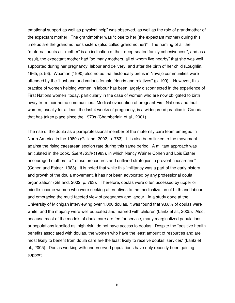emotional support as well as physical help" was observed, as well as the role of grandmother of the expectant mother. The grandmother was "close to her (the expectant mother) during this time as are the grandmother's sisters (also called grandmother)". The naming of all the "maternal aunts as "mother" is an indication of their deep-seated family cohesiveness", and as a result, the expectant mother had "so many mothers, all of whom live nearby" that she was well supported during her pregnancy, labour and delivery, and after the birth of her child (Loughlin, 1965, p. 56). Waxman (1990) also noted that historically births in Navajo communities were attended by the "husband and various female friends and relatives" (p. 190). However, this practice of women helping women in labour has been largely disconnected in the experience of First Nations women today, particularly in the case of women who are now obligated to birth away from their home communities. Medical evacuation of pregnant First Nations and Inuit women, usually for at least the last 4 weeks of pregnancy, is a widespread practice in Canada that has taken place since the 1970s (Chamberlain et al., 2001).

The rise of the doula as a paraprofessional member of the maternity care team emerged in North America in the 1980s (Gilliand, 2002, p. 763). It is also been linked to the movement against the rising caesarean section rate during this same period. A militant approach was articulated in the book, Silent Knife (1983), in which Nancy Wainer Cohen and Lois Estner encouraged mothers to "refuse procedures and outlined strategies to prevent caesareans" (Cohen and Estner, 1983). It is noted that while this "militancy was a part of the early history and growth of the doula movement, it has not been advocated by any professional doula organization" (Gilliand, 2002, p. 763). Therefore, doulas were often accessed by upper or middle-income women who were seeking alternatives to the medicalization of birth and labour, and embracing the multi-faceted view of pregnancy and labour. In a study done at the University of Michigan interviewing over 1,000 doulas, it was found that 93.8% of doulas were white, and the majority were well educated and married with children (Lantz et al., 2005). Also, because most of the models of doula care are fee for service, many marginalized populations, or populations labelled as 'high risk', do not have access to doulas. Despite the "positive health benefits associated with doulas, the women who have the least amount of resources and are most likely to benefit from doula care are the least likely to receive doulas' services" (Lantz et al., 2005). Doulas working with underserved populations have only recently been gaining support.

10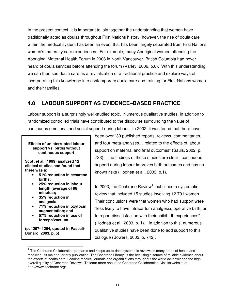In the present context, it is important to join together the understanding that women have traditionally acted as doulas throughout First Nations history, however, the rise of doula care within the medical system has been an event that has been largely separated from First Nations women's maternity care experiences. For example, many Aboriginal women attending the Aboriginal Maternal Health Forum in 2006 in North Vancouver, British Columbia had never heard of doula services before attending the forum (Varley, 2006, p.6). With this understanding, we can then see doula care as a revitalization of a traditional practice and explore ways of incorporating this knowledge into contemporary doula care and training for First Nations women and their families.

## **4.0 LABOUR SUPPORT AS EVIDENCE–BASED PRACTICE**

Labour support is a surprisingly well-studied topic. Numerous qualitative studies, in addition to randomized controlled trials have contributed to the discourse surrounding the value of continuous emotional and social support during labour. In 2002, it was found that there have

**Effects of uninterrupted labour support vs. births without continuous support** 

**Scott et al. (1999) analyzed 12 clinical studies and found that there was a:** 

- **51% reduction in cesarean births;**
- **25% reduction in labour length (average of 98 minutes);**
- **35% reduction in analgesia;**
- **71% reduction in oxytocin augmentation; and**
- **57% reduction in use of forceps/vacuum.**

**(p. 1257- 1264, quoted in Pascali-Bonaro, 2003, p. 5)** 

j

been over "30 published reports, reviews, commentaries, and four meta-analyses… related to the effects of labour support on maternal and fetal outcomes" (Sauls, 2002, p. 733). The findings of these studies are clear: continuous support during labour improves birth outcomes and has no known risks (Hodnett et al., 2003, p.1).

In 2003, the Cochrane Review<sup>1</sup> published a systematic review that included 15 studies involving 12,791 women. Their conclusions were that women who had support were "less likely to have intrapartum analgesia, operative birth, or to report dissatisfaction with their childbirth experiences" (Hodnett et al., 2003, p. 1). In addition to this, numerous qualitative studies have been done to add support to this dialogue (Bowers, 2002, p. 742).

<sup>&</sup>lt;sup>1</sup> The Cochrane Collaboration prepares and keeps up-to-date systematic reviews in many areas of health and medicine. Its major quarterly publication, The Cochrane Library, is the best single source of reliable evidence about the effects of health care. Leading medical journals and organizations throughout the world acknowledge the high overall quality of Cochrane Reviews. To learn more about the Cochrane Collaboration, visit its website at: http://www.cochrane.org/.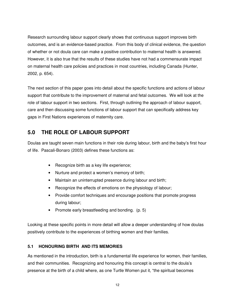Research surrounding labour support clearly shows that continuous support improves birth outcomes, and is an evidence-based practice. From this body of clinical evidence, the question of whether or not doula care can make a positive contribution to maternal health is answered. However, it is also true that the results of these studies have not had a commensurate impact on maternal health care policies and practices in most countries, including Canada (Hunter, 2002, p. 654).

The next section of this paper goes into detail about the specific functions and actions of labour support that contribute to the improvement of maternal and fetal outcomes. We will look at the role of labour support in two sections. First, through outlining the approach of labour support, care and then discussing some functions of labour support that can specifically address key gaps in First Nations experiences of maternity care.

## **5.0 THE ROLE OF LABOUR SUPPORT**

Doulas are taught seven main functions in their role during labour, birth and the baby's first hour of life. Pascali-Bonaro (2003) defines these functions as:

- Recognize birth as a key life experience;
- Nurture and protect a women's memory of birth;
- Maintain an uninterrupted presence during labour and birth;
- Recognize the effects of emotions on the physiology of labour;
- Provide comfort techniques and encourage positions that promote progress during labour;
- Promote early breastfeeding and bonding. (p. 5)

Looking at these specific points in more detail will allow a deeper understanding of how doulas positively contribute to the experiences of birthing women and their families.

#### **5.1 HONOURING BIRTH AND ITS MEMORIES**

As mentioned in the introduction, birth is a fundamental life experience for women, their families, and their communities. Recognizing and honouring this concept is central to the doula's presence at the birth of a child where, as one Turtle Women put it, "the spiritual becomes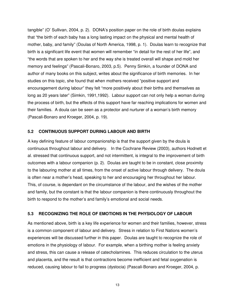tangible" (O' Sullivan, 2004, p. 2). DONA's position paper on the role of birth doulas explains that "the birth of each baby has a long lasting impact on the physical and mental health of mother, baby, and family" (Doulas of North America, 1998, p. 1). Doulas learn to recognize that birth is a significant life event that women will remember "in detail for the rest of her life", and "the words that are spoken to her and the way she is treated overall will shape and mold her memory and feelings" (Pascali-Bonaro, 2003, p.5). Penny Simkin, a founder of DONA and author of many books on this subject, writes about the significance of birth memories. In her studies on this topic, she found that when mothers received "positive support and encouragement during labour" they felt "more positively about their births and themselves as long as 20 years later" (Simkin, 1991,1992). Labour support can not only help a woman during the process of birth, but the effects of this support have far reaching implications for women and their families. A doula can be seen as a protector and nurturer of a woman's birth memory (Pascali-Bonaro and Kroeger, 2004, p. 19).

#### **5.2 CONTINUOUS SUPPORT DURING LABOUR AND BIRTH**

A key defining feature of labour companionship is that the support given by the doula is continuous throughout labour and delivery. In the Cochrane Review (2003), authors Hodnett et al. stressed that continuous support, and not intermittent, is integral to the improvement of birth outcomes with a labour companion (p. 2). Doulas are taught to be in constant, close proximity to the labouring mother at all times, from the onset of active labour through delivery. The doula is often near a mother's head, speaking to her and encouraging her throughout her labour. This, of course, is dependant on the circumstance of the labour, and the wishes of the mother and family, but the constant is that the labour companion is there continuously throughout the birth to respond to the mother's and family's emotional and social needs.

#### **5.3 RECOGNIZING THE ROLE OF EMOTIONS IN THE PHYSIOLOGY OF LABOUR**

As mentioned above, birth is a key life experience for women and their families, however, stress is a common component of labour and delivery. Stress in relation to First Nations women's experiences will be discussed further in this paper. Doulas are taught to recognize the role of emotions in the physiology of labour. For example, when a birthing mother is feeling anxiety and stress, this can cause a release of catecholamines. This reduces circulation to the uterus and placenta, and the result is that contractions become inefficient and fetal oxygenation is reduced, causing labour to fail to progress (dystocia) (Pascali-Bonaro and Kroeger, 2004, p.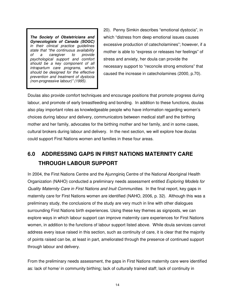**The Society of Obstetricians and Gynecologists of Canada (SOGC)** in their clinical practice guidelines state that "the continuous availability<br>of a caregiver to provide caregiver psychological support and comfort should be a key component of all intrapartum care programs, which should be designed for the effective prevention and treatment of dystocia (non-progressive labour)" (1995).

20). Penny Simkin describes "emotional dystocia", in which "distress from deep emotional issues causes excessive production of catecholamines"; however, if a mother is able to "express or releases her feelings" of stress and anxiety, her doula can provide the necessary support to "reconcile strong emotions" that caused the increase in catecholamines (2000, p.70).

Doulas also provide comfort techniques and encourage positions that promote progress during labour, and promote of early breastfeeding and bonding. In addition to these functions, doulas also play important roles as knowledgeable people who have information regarding women's choices during labour and delivery, communicators between medical staff and the birthing mother and her family, advocates for the birthing mother and her family, and in some cases, cultural brokers during labour and delivery. In the next section, we will explore how doulas could support First Nations women and families in these four areas.

## **6.0 ADDRESSING GAPS IN FIRST NATIONS MATERNITY CARE THROUGH LABOUR SUPPORT**

In 2004, the First Nations Centre and the Ajunnginiq Centre of the National Aboriginal Health Organization (NAHO) conducted a preliminary needs assessment entitled Exploring Models for Quality Maternity Care in First Nations and Inuit Communities. In the final report, key gaps in maternity care for First Nations women are identified (NAHO, 2006, p. 32). Although this was a preliminary study, the conclusions of the study are very much in line with other dialogues surrounding First Nations birth experiences. Using these key themes as signposts, we can explore ways in which labour support can improve maternity care experiences for First Nations women, in addition to the functions of labour support listed above. While doula services cannot address every issue raised in this section, such as continuity of care, it is clear that the majority of points raised can be, at least in part, ameliorated through the presence of continued support through labour and delivery.

From the preliminary needs assessment, the gaps in First Nations maternity care were identified as: lack of home/ in community birthing; lack of culturally trained staff; lack of continuity in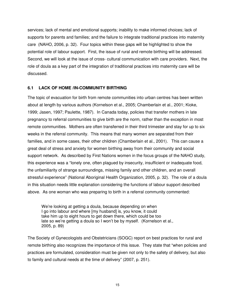services; lack of mental and emotional supports; inability to make informed choices; lack of supports for parents and families; and the failure to integrate traditional practices into maternity care (NAHO, 2006, p. 32). Four topics within these gaps will be highlighted to show the potential role of labour support. First, the issue of rural and remote birthing will be addressed. Second, we will look at the issue of cross- cultural communication with care providers. Next, the role of doula as a key part of the integration of traditional practices into maternity care will be discussed.

#### **6.1 LACK OF HOME /IN-COMMUNITY BIRTHING**

The topic of evacuation for birth from remote communities into urban centres has been written about at length by various authors (Kornelson et al., 2005; Chamberlain et al., 2001; Kioke, 1999; Jasen, 1997; Paulette, 1987). In Canada today, policies that transfer mothers in late pregnancy to referral communities to give birth are the norm, rather than the exception in most remote communities. Mothers are often transferred in their third trimester and stay for up to six weeks in the referral community. This means that many women are separated from their families, and in some cases, their other children (Chamberlain et al., 2001). This can cause a great deal of stress and anxiety for women birthing away from their community and social support network. As described by First Nations women in the focus groups of the NAHO study, this experience was a "lonely one, often plagued by insecurity, insufficient or inadequate food, the unfamiliarity of strange surroundings, missing family and other children, and an overall stressful experience" (National Aboriginal Health Organization, 2005, p. 32). The role of a doula in this situation needs little explanation considering the functions of labour support described above. As one woman who was preparing to birth in a referral community commented:

We're looking at getting a doula, because depending on when I go into labour and where [my husband] is, you know, it could take him up to eight hours to get down there, which could be too late so we're getting a doula so I won't be by myself. (Kornelson et al., 2005, p. 89)

The Society of Gynecologists and Obstetricians (SOGC) report on best practices for rural and remote birthing also recognizes the importance of this issue. They state that "when policies and practices are formulated, consideration must be given not only to the safety of delivery, but also to family and cultural needs at the time of delivery" (2007, p. 251).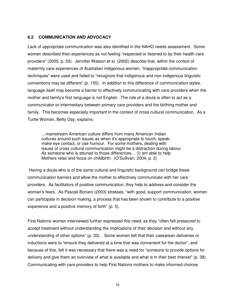#### **6.2 COMMUNICATION AND ADVOCACY**

Lack of appropriate communication was also identified in the NAHO needs assessment. Some women described their experiences as not feeling "respected or listened to by their health care providers" (2005, p. 33). Jennifer Watson et al. (2002) describe that, within the context of maternity care experiences of Australian indigenous women, "inappropriate communication techniques" were used and failed to "recognize that indigenous and non-indigenous linguistic conventions may be different" (p. 155). In addition to this difference of communication styles, language itself may become a barrier to effectively communicating with care providers when the mother and family's first language is not English. The role of a doula is often to act as a communicator or intermediary between primary care providers and the birthing mother and family. This becomes especially important in the context of cross cultural communication. As a Turtle Woman, Betty Day, explains:

 …mainstream American culture differs from many American Indian cultures around such issues as when it's appropriate to touch, speak, make eye contact, or use humour. For some mothers, dealing with issues of cross cultural communication might be a distraction during labour. As someone who is attuned to those differences… (I) am able to help Mothers relax and focus on childbirth. (O'Sullivan, 2004, p. 2)

 Having a doula who is of the same cultural and linguistic background can bridge these communication barriers and allow the mother to effectively communicate with her care providers. As facilitators of positive communication, they help to address and consider the woman's fears. As Pascali-Bonaro (2003) stresses, "with good, support communication, women can participate in decision making, a process that has been shown to contribute to a positive experience and a positive memory of birth" (p. 5).

First Nations women interviewed further expressed this need, as they "often felt pressured to accept treatment without understanding the implications of their decision and without any understanding of other options" (p. 33). Some women felt that their caesarean deliveries or inductions were to "ensure they delivered at a time that was convenient for the doctor", and because of this, felt it was necessary that there was a need for "someone to provide options for delivery and give them an overview of what is available and what is in their best interest" (p. 38). Communicating with care providers to help First Nations mothers to make informed choices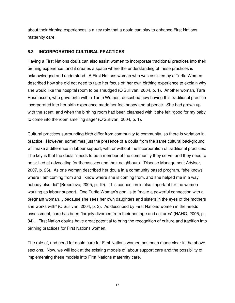about their birthing experiences is a key role that a doula can play to enhance First Nations maternity care.

#### **6.3 INCORPORATING CULTURAL PRACTICES**

Having a First Nations doula can also assist women to incorporate traditional practices into their birthing experience, and it creates a space where the understanding of these practices is acknowledged and understood. A First Nations woman who was assisted by a Turtle Women described how she did not need to take her focus off her own birthing experience to explain why she would like the hospital room to be smudged (O'Sullivan, 2004, p. 1). Another woman, Tara Rasmussen, who gave birth with a Turtle Women, described how having this traditional practice incorporated into her birth experience made her feel happy and at peace. She had grown up with the scent, and when the birthing room had been cleansed with it she felt "good for my baby to come into the room smelling sage" (O'Sullivan, 2004, p. 1).

Cultural practices surrounding birth differ from community to community, so there is variation in practice. However, sometimes just the presence of a doula from the same cultural background will make a difference in labour support, with or without the incorporation of traditional practices. The key is that the doula "needs to be a member of the community they serve, and they need to be skilled at advocating for themselves and their neighbours" (Disease Management Advisor, 2007, p. 26). As one woman described her doula in a community based program, "she knows where I am coming from and I know where she is coming from, and she helped me in a way nobody else did" (Breedlove, 2005, p. 19). This connection is also important for the women working as labour support. One Turtle Woman's goal is to "make a powerful connection with a pregnant woman… because she sees her own daughters and sisters in the eyes of the mothers she works with" (O'Sullivan, 2004, p. 3). As described by First Nations women in the needs assessment, care has been "largely divorced from their heritage and cultures" (NAHO, 2005, p. 34). First Nation doulas have great potential to bring the recognition of culture and tradition into birthing practices for First Nations women.

The role of, and need for doula care for First Nations women has been made clear in the above sections. Now, we will look at the existing models of labour support care and the possibility of implementing these models into First Nations maternity care.

17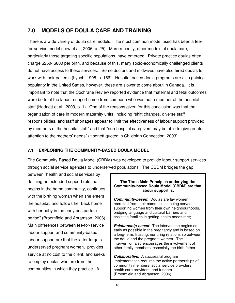## **7.0 MODELS OF DOULA CARE AND TRAINING**

There is a wide variety of doula care models. The most common model used has been a feefor-service model (Low et al., 2006, p. 25). More recently, other models of doula care, particularly those targeting specific populations, have emerged. Private practice doulas often charge \$250- \$800 per birth, and because of this, many socio-economically challenged clients do not have access to these services. Some doctors and midwives have also hired doulas to work with their patients (Lynch, 1998, p. 156). Hospital-based doula programs are also gaining popularity in the United States, however, these are slower to come about in Canada. It is important to note that the Cochrane Review reported evidence that maternal and fetal outcomes were better if the labour support came from someone who was not a member of the hospital staff (Hodnett et al., 2003, p. 1). One of the reasons given for this conclusion was that the organization of care in modern maternity units, including "shift changes, diverse staff responsibilities, and staff shortages appear to limit the effectiveness of labour support provided by members of the hospital staff" and that "non-hospital caregivers may be able to give greater attention to the mothers' needs" (Hodnett quoted in Childbirth Connection, 2003).

#### **7.1 EXPLORING THE COMMUNITY-BASED DOULA MODEL**

The Community-Based Doula Model (CBDM) was developed to provide labour support services through social service agencies to underserved populations. The CBDM bridges the gap

between "health and social services by defining an extended support role that begins in the home community, continues with the birthing woman when she enters the hospital, and follows her back home with her baby in the early postpartum period" (Broomfield and Abramson, 2006). Main differences between fee-for-service labour support and community-based labour support are that the latter targets underserved pregnant women, provides service at no cost to the client, and seeks to employ doulas who are from the communities in which they practice. A

#### **The Three Main Principles underlying the Community-based Doula Model (CBDM) are that labour support is:**

**Community-based**: Doulas are lay women recruited from their communities being served, supporting women from their own neighbourhoods, bridging language and cultural barriers and assisting families in getting health needs met;

**Relationship-based**: The intervention begins as early as possible in the pregnancy and is based on a long-term, trusting, nurturing relationship between the doula and the pregnant women. The intervention also encourages the involvement of other family members, especially the birth father;

**Collaborative**: A successful program implementation requires the active partnerships of community members, social service providers, health care providers, and funders. (Broomfield and Abramson, 2006)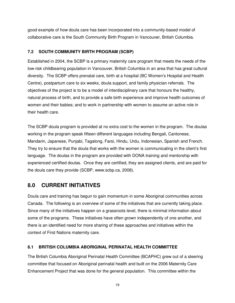good example of how doula care has been incorporated into a community-based model of collaborative care is the South Community Birth Program in Vancouver, British Columbia.

#### **7.2 SOUTH COMMUNITY BIRTH PROGRAM (SCBP)**

Established in 2004, the SCBP is a primary maternity care program that meets the needs of the low-risk childbearing population in Vancouver, British Columbia in an area that has great cultural diversity. The SCBP offers prenatal care, birth at a hospital (BC Women's Hospital and Health Centre), postpartum care to six weeks, doula support, and family physician referrals. The objectives of the project is to be a model of interdisciplinary care that honours the healthy, natural process of birth, and to provide a safe birth experience and improve health outcomes of women and their babies; and to work in partnership with women to assume an active role in their health care.

The SCBP doula program is provided at no extra cost to the women in the program. The doulas working in the program speak fifteen different languages including Bengali, Cantonese, Mandarin, Japanese, Punjabi, Tagalong, Farsi, Hindu, Urdu, Indonesian, Spanish and French. They try to ensure that the doula that works with the women is communicating in the client's first language. The doulas in the program are provided with DONA training and mentorship with experienced certified doulas. Once they are certified, they are assigned clients, and are paid for the doula care they provide (SCBP, www.scbp.ca, 2008).

## **8.0 CURRENT INITIATIVES**

Doula care and training has begun to gain momentum in some Aboriginal communities across Canada. The following is an overview of some of the initiatives that are currently taking place. Since many of the initiatives happen on a grassroots level, there is minimal information about some of the programs. These initiatives have often grown independently of one another, and there is an identified need for more sharing of these approaches and initiatives within the context of First Nations maternity care.

#### **8.1 BRITISH COLUMBIA ABORIGINAL PERINATAL HEALTH COMMITTEE**

The British Columbia Aboriginal Perinatal Health Committee (BCAPHC) grew out of a steering committee that focused on Aboriginal perinatal health and built on the 2006 Maternity Care Enhancement Project that was done for the general population. This committee within the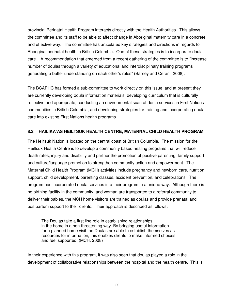provincial Perinatal Health Program interacts directly with the Health Authorities. This allows the committee and its staff to be able to affect change in Aboriginal maternity care in a concrete and effective way. The committee has articulated key strategies and directions in regards to Aboriginal perinatal health in British Columbia. One of these strategies is to incorporate doula care. A recommendation that emerged from a recent gathering of the committee is to "increase number of doulas through a variety of educational and interdisciplinary training programs generating a better understanding on each other's roles" (Barney and Cerani, 2008).

The BCAPHC has formed a sub-committee to work directly on this issue, and at present they are currently developing doula information materials, developing curriculum that is culturally reflective and appropriate, conducting an environmental scan of doula services in First Nations communities in British Columbia, and developing strategies for training and incorporating doula care into existing First Nations health programs.

#### **8.2 HAILIKA'AS HEILTSUK HEALTH CENTRE, MATERNAL CHILD HEALTH PROGRAM**

The Heiltsuk Nation is located on the central coast of British Columbia. The mission for the Heiltsuk Health Centre is to develop a community based healing programs that will reduce death rates, injury and disability and partner the promotion of positive parenting, family support and culture/language promotion to strengthen community action and empowerment. The Maternal Child Health Program (MCH) activities include pregnancy and newborn care, nutrition support, child development, parenting classes, accident prevention, and celebrations. The program has incorporated doula services into their program in a unique way. Although there is no birthing facility in the community, and woman are transported to a referral community to deliver their babies, the MCH home visitors are trained as doulas and provide prenatal and postpartum support to their clients. Their approach is described as follows:

 The Doulas take a first line role in establishing relationships in the home in a non-threatening way. By bringing useful information for a planned home visit the Doulas are able to establish themselves as resources for information, this enables clients to make informed choices and feel supported. (MCH, 2008)

In their experience with this program, it was also seen that doulas played a role in the development of collaborative relationships between the hospital and the health centre. This is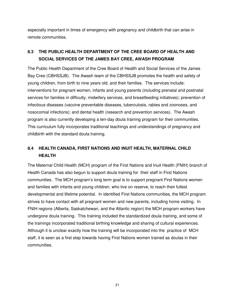especially important in times of emergency with pregnancy and childbirth that can arise in remote communities.

## **8.3 THE PUBLIC HEALTH DEPARTMENT OF THE CREE BOARD OF HEALTH AND SOCIAL SERVICES OF THE JAMES BAY CREE, AWASH PROGRAM**

The Public Health Department of the Cree Board of Health and Social Services of the James Bay Cree (CBHSSJB). The Awash team of the CBHSSJB promotes the health and safety of young children, from birth to nine years old, and their families. The services include: interventions for pregnant women, infants and young parents (including prenatal and postnatal services for families in difficulty, midwifery services, and breastfeeding initiatives); prevention of infectious diseases (vaccine preventable diseases, tuberculosis, rabies and zoonoses, and nosocomial infections); and dental health (research and prevention services). The Awash program is also currently developing a ten-day doula training program for their communities. This curriculum fully incorporates traditional teachings and understandings of pregnancy and childbirth with the standard doula training.

## **8.4 HEALTH CANADA, FIRST NATIONS AND INUIT HEALTH, MATERNAL CHILD HEALTH**

The Maternal Child Health (MCH) program of the First Nations and Inuit Health (FNIH) branch of Health Canada has also begun to support doula training for their staff in First Nations communities. The MCH program's long term goal is to support pregnant First Nations women and families with infants and young children, who live on reserve, to reach their fullest developmental and lifetime potential. In identified First Nations communities, the MCH program strives to have contact with all pregnant women and new parents, including home visiting. In FNIH regions (Alberta, Saskatchewan, and the Atlantic region) the MCH program workers have undergone doula training. This training included the standardized doula training, and some of the trainings incorporated traditional birthing knowledge and sharing of cultural experiences. Although it is unclear exactly how the training will be incorporated into the practice of MCH staff, it is seen as a first step towards having First Nations women trained as doulas in their communities.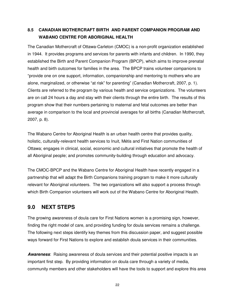## **8.5 CANADIAN MOTHERCRAFT BIRTH AND PARENT COMPANION PROGRAM AND WABANO CENTRE FOR ABORIGINAL HEALTH**

The Canadian Mothercraft of Ottawa-Carleton (CMOC) is a non-profit organization established in 1944. It provides programs and services for parents with infants and children. In 1990, they established the Birth and Parent Companion Program (BPCP), which aims to improve prenatal health and birth outcomes for families in the area. The BPCP trains volunteer companions to "provide one on one support, information, companionship and mentoring to mothers who are alone, marginalized, or otherwise "at risk" for parenting" (Canadian Mothercraft, 2007, p. 1). Clients are referred to the program by various health and service organizations. The volunteers are on call 24 hours a day and stay with their clients through the entire birth. The results of this program show that their numbers pertaining to maternal and fetal outcomes are better than average in comparison to the local and provincial averages for all births (Canadian Mothercraft, 2007, p. 8).

The Wabano Centre for Aboriginal Health is an urban health centre that provides quality, holistic, culturally-relevant health services to Inuit, Métis and First Nation communities of Ottawa; engages in clinical, social, economic and cultural initiatives that promote the health of all Aboriginal people; and promotes community-building through education and advocacy.

The CMOC-BPCP and the Wabano Centre for Aboriginal Health have recently engaged in a partnership that will adapt the Birth Companions training program to make it more culturally relevant for Aboriginal volunteers. The two organizations will also support a process through which Birth Companion volunteers will work out of the Wabano Centre for Aboriginal Health.

## **9.0 NEXT STEPS**

The growing awareness of doula care for First Nations women is a promising sign, however, finding the right model of care, and providing funding for doula services remains a challenge. The following next steps identify key themes from this discussion paper, and suggest possible ways forward for First Nations to explore and establish doula services in their communities.

**Awareness**: Raising awareness of doula services and their potential positive impacts is an important first step. By providing information on doula care through a variety of media, community members and other stakeholders will have the tools to support and explore this area

22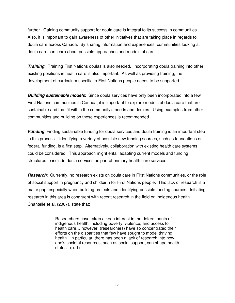further. Gaining community support for doula care is integral to its success in communities. Also, it is important to gain awareness of other initiatives that are taking place in regards to doula care across Canada. By sharing information and experiences, communities looking at doula care can learn about possible approaches and models of care.

**Training**: Training First Nations doulas is also needed. Incorporating doula training into other existing positions in health care is also important. As well as providing training, the development of curriculum specific to First Nations people needs to be supported.

**Building sustainable models**: Since doula services have only been incorporated into a few First Nations communities in Canada, it is important to explore models of doula care that are sustainable and that fit within the community's needs and desires. Using examples from other communities and building on these experiences is recommended.

**Funding**: Finding sustainable funding for doula services and doula training is an important step in this process. Identifying a variety of possible new funding sources, such as foundations or federal funding, is a first step. Alternatively, collaboration with existing health care systems could be considered. This approach might entail adapting current models and funding structures to include doula services as part of primary health care services.

**Research**: Currently, no research exists on doula care in First Nations communities, or the role of social support in pregnancy and childbirth for First Nations people. This lack of research is a major gap, especially when building projects and identifying possible funding sources. Initiating research in this area is congruent with recent research in the field on indigenous health. Chantelle et al. (2007), state that:

> Researchers have taken a keen interest in the determinants of indigenous health, including poverty, violence, and access to health care… however, (researchers) have so concentrated their efforts on the disparities that few have sought to model thriving health. In particular, there has been a lack of research into how one's societal resources, such as social support, can shape health status. (p. 1)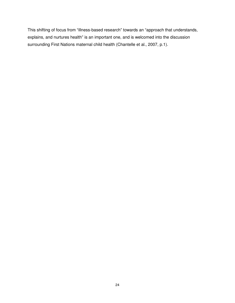This shifting of focus from "illness-based research" towards an "approach that understands, explains, and nurtures health" is an important one, and is welcomed into the discussion surrounding First Nations maternal child health (Chantelle et al., 2007, p.1).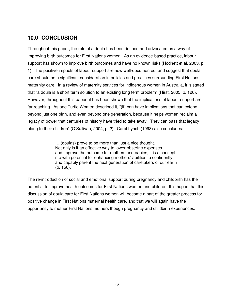## **10.0 CONCLUSION**

Throughout this paper, the role of a doula has been defined and advocated as a way of improving birth outcomes for First Nations women. As an evidence-based practice, labour support has shown to improve birth outcomes and have no known risks (Hodnett et al, 2003, p. 1). The positive impacts of labour support are now well-documented, and suggest that doula care should be a significant consideration in policies and practices surrounding First Nations maternity care. In a review of maternity services for indigenous women in Australia, it is stated that "a doula is a short term solution to an existing long term problem" (Hirst, 2005, p. 126). However, throughout this paper, it has been shown that the implications of labour support are far reaching. As one Turtle Women described it, "(it) can have implications that can extend beyond just one birth, and even beyond one generation, because it helps women reclaim a legacy of power that centuries of history have tried to take away. They can pass that legacy along to their children" (O'Sullivan, 2004, p. 2). Carol Lynch (1998) also concludes:

> … (doulas) prove to be more than just a nice thought. Not only is it an effective way to lower obstetric expenses and improve the outcome for mothers and babies, it is a concept rife with potential for enhancing mothers' abilities to confidently and capably parent the next generation of caretakers of our earth (p. 156).

The re-introduction of social and emotional support during pregnancy and childbirth has the potential to improve health outcomes for First Nations women and children. It is hoped that this discussion of doula care for First Nations women will become a part of the greater process for positive change in First Nations maternal health care, and that we will again have the opportunity to mother First Nations mothers though pregnancy and childbirth experiences.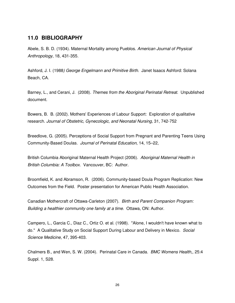#### **11.0 BIBLIOGRAPHY**

Abele, S. B. D. (1934). Maternal Mortality among Pueblos. American Journal of Physical Anthropology, 18, 431-355.

Ashford, J. I. (1988) George Engelmann and Primitive Birth. Janet Isaacs Ashford: Solana Beach, CA.

Barney, L., and Cerani, J. (2008). Themes from the Aboriginal Perinatal Retreat. Unpublished document.

Bowers, B. B. (2002). Mothers' Experiences of Labour Support: Exploration of qualitative research. Journal of Obstetric, Gynecologic, and Neonatal Nursing, 31, 742-752

Breedlove, G. (2005). Perceptions of Social Support from Pregnant and Parenting Teens Using Community-Based Doulas. Journal of Perinatal Education, 14, 15–22,

British Columbia Aboriginal Maternal Health Project (2006). Aboriginal Maternal Health in British Columbia: A Toolbox. Vancouver, BC: Author.

Broomfield, K. and Abramson, R. (2006). Community-based Doula Program Replication: New Outcomes from the Field. Poster presentation for American Public Health Association.

Canadian Mothercraft of Ottawa-Carleton (2007). Birth and Parent Companion Program: Building a healthier community one family at a time. Ottawa, ON: Author.

Campero, L., Garcia C., Diaz C., Ortiz O. et al. (1998). "Alone, I wouldn't have known what to do." A Qualitative Study on Social Support During Labour and Delivery in Mexico. Social Science Medicine, 47, 395-403.

Chalmers B., and Wen, S. W. (2004). Perinatal Care in Canada. BMC Womens Health,, 25:4 Suppl. 1, S28.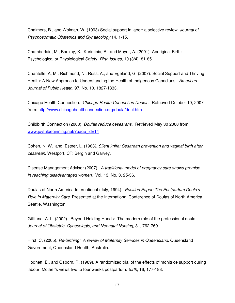Chalmers, B., and Wolman, W. (1993) Social support in labor: a selective review. Journal of Psychosomatic Obstetrics and Gynaecology 14, 1-15.

Chamberlain, M., Barclay, K., Kariminia, A., and Moyer, A. (2001). Aboriginal Birth: Psychological or Physiological Safety. Birth Issues, 10 (3/4), 81-85.

Chantelle, A, M., Richmond, N., Ross, A., and Egeland, G. (2007). Social Support and Thriving Health: A New Approach to Understanding the Health of Indigenous Canadians. American Journal of Public Health, 97, No. 10, 1827-1833.

Chicago Health Connection. Chicago Health Connection Doulas. Retrieved October 10, 2007 from: http://www.chicagohealthconnection.org/doula/doul.htm

Childbirth Connection (2003). Doulas reduce cesearans. Retrieved May 30 2008 from www.joyfulbeginning.net/?page\_id=14

Cohen, N. W. and Estner, L. (1983). Silent knife: Cesarean prevention and vaginal birth after cesarean. Westport, CT: Bergin and Garvey.

Disease Management Advisor (2007). A traditional model of pregnancy care shows promise in reaching disadvantaged women. Vol. 13, No. 3, 25-36.

Doulas of North America International (July, 1994). Position Paper: The Postpartum Doula's Role in Maternity Care. Presented at the International Conference of Doulas of North America. Seattle, Washington.

Gilliland, A. L. (2002). Beyond Holding Hands: The modern role of the professional doula. Journal of Obstetric, Gynecologic, and Neonatal Nursing, 31, 762-769.

Hirst, C. (2005). Re-birthing: A review of Maternity Services in Queensland. Queensland Government, Queensland Health, Australia.

Hodnett, E., and Osborn, R. (1989). A randomized trial of the effects of monitrice support during labour: Mother's views two to four weeks postpartum. Birth, 16, 177-183.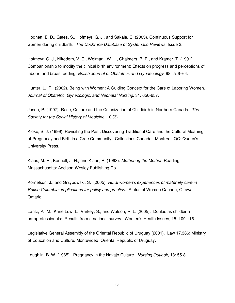Hodnett, E. D., Gates, S., Hofmeyr, G. J., and Sakala, C. (2003). Continuous Support for women during childbirth. The Cochrane Database of Systematic Reviews, Issue 3.

Hofmeyr, G. J., Nikodem, V. C., Wolman, W..L., Chalmers, B. E., and Kramer, T. (1991). Companionship to modify the clinical birth environment: Effects on progress and perceptions of labour, and breastfeeding. British Journal of Obstetrics and Gynaecology, 98, 756–64.

Hunter, L. P. (2002). Being with Women: A Guiding Concept for the Care of Laboring Women. Journal of Obstetric, Gynecologic, and Neonatal Nursing, 31, 650-657.

Jasen, P. (1997). Race, Culture and the Colonization of Childbirth in Northern Canada. The Society for the Social History of Medicine, 10 (3).

Kioke, S. J. (1999). Revisiting the Past: Discovering Traditional Care and the Cultural Meaning of Pregnancy and Birth in a Cree Community. Collections Canada. Montréal, QC: Queen's University Press.

Klaus, M. H., Kennell, J. H., and Klaus, P. (1993). Mothering the Mother. Reading, Massachusetts: Addison-Wesley Publishing Co.

Kornelson, J., and Grzybowski, S. (2005). Rural women's experiences of maternity care in British Columbia: implications for policy and practice. Status of Women Canada, Ottawa, Ontario.

Lantz, P. M., Kane Low, L., Varkey, S., and Watson, R. L. (2005). Doulas as childbirth paraprofessionals: Results from a national survey. Women's Health Issues, 15, 109-116.

Legislative General Assembly of the Oriental Republic of Uruguay (2001). Law 17.386; Ministry of Education and Culture. Montevideo: Oriental Republic of Uruguay.

Loughlin, B. W. (1965). Pregnancy in the Navajo Culture. Nursing Outlook, 13: 55-8.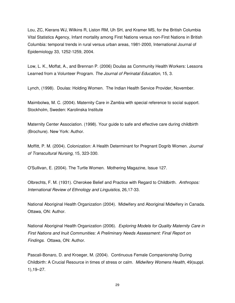Lou, ZC, Kierans WJ, Wilkins R, Liston RM, Uh SH, and Kramer MS, for the British Columbia Vital Statistics Agency, Infant mortality among First Nations versus non-First Nations in British Columbia: temporal trends in rural versus urban areas, 1981-2000, International Journal of Epidemiology 33, 1252-1259, 2004.

Low, L. K., Moffat, A., and Brennan P. (2006) Doulas as Community Health Workers: Lessons Learned from a Volunteer Program. The Journal of Perinatal Education, 15, 3.

Lynch, (1998). Doulas: Holding Women. The Indian Health Service Provider, November.

Maimbolwa, M. C. (2004). Maternity Care in Zambia with special reference to social support. Stockholm, Sweden: Karolinska Institute

Maternity Center Association. (1998). Your guide to safe and effective care during childbirth (Brochure). New York: Author.

Moffitt, P. M. (2004). Colonization: A Health Determinant for Pregnant Dogrib Women. Journal of Transcultural Nursing, 15, 323-330.

O'Sullivan, E. (2004). The Turtle Women. Mothering Magazine, Issue 127.

Olbrechts, F. M. (1931). Cherokee Belief and Practice with Regard to Childbirth. Anthropos: International Review of Ethnology and Linguistics, 26,17-33.

National Aboriginal Health Organization (2004). Midwifery and Aboriginal Midwifery in Canada. Ottawa, ON: Author.

National Aboriginal Health Organization (2006). Exploring Models for Quality Maternity Care in First Nations and Inuit Communities: A Preliminary Needs Assessment: Final Report on Findings. Ottawa, ON: Author.

Pascali-Bonaro, D. and Kroeger, M. (2004). Continuous Female Companionship During Childbirth: A Crucial Resource in times of stress or calm. Midwifery Womens Health, 49(suppl. 1),19–27.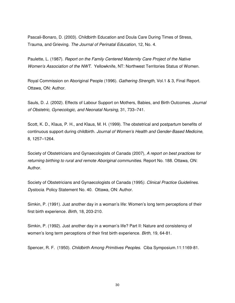Pascali-Bonaro, D. (2003). Childbirth Education and Doula Care During Times of Stress, Trauma, and Grieving. The Journal of Perinatal Education, 12, No. 4.

Paulette, L. (1987). Report on the Family Centered Maternity Care Project of the Native Women's Association of the NWT. Yellowknife, NT: Northwest Territories Status of Women.

Royal Commission on Aboriginal People (1996). Gathering Strength, Vol.1 & 3, Final Report. Ottawa, ON: Author.

Sauls, D. J. (2002). Effects of Labour Support on Mothers, Babies, and Birth Outcomes. Journal of Obstetric, Gynecologic, and Neonatal Nursing, 31, 733–741.

Scott, K. D., Klaus, P. H., and Klaus, M. H. (1999). The obstetrical and postpartum benefits of continuous support during childbirth. Journal of Women's Health and Gender-Based Medicine, 8, 1257–1264.

Society of Obstetricians and Gynaecologists of Canada (2007), A report on best practices for returning birthing to rural and remote Aboriginal communities. Report No. 188. Ottawa, ON: Author.

Society of Obstetricians and Gynaecologists of Canada (1995). Clinical Practice Guidelines. Dystocia. Policy Statement No. 40. Ottawa, ON: Author.

Simkin, P. (1991). Just another day in a woman's life: Women's long term perceptions of their first birth experience. Birth, 18, 203-210.

Simkin, P. (1992). Just another day in a woman's life? Part II: Nature and consistency of women's long term perceptions of their first birth experience. Birth, 19, 64-81.

Spencer, R. F. (1950). Childbirth Among Primitives Peoples. Ciba Symposium.11:1169-81.